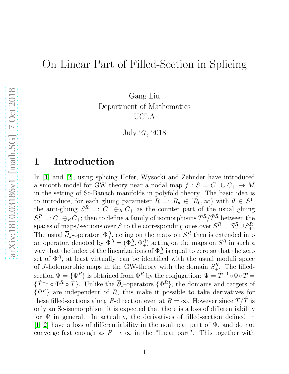# On Linear Part of Filled-Section in Splicing

Gang Liu Department of Mathematics UCLA

July 27, 2018

## 1 Introduction

In [\[1\]](#page-26-0) and [\[2\]](#page-26-1), using splicing Hofer, Wysocki and Zehnder have introduced a smooth model for GW theory near a nodal map  $f : S = C_-\cup C_+ \rightarrow M$ in the setting of Sc-Banach manifolds in polyfold theory. The basic idea is to introduce, for each gluing parameter  $R =: R_{\theta} \in [R_0, \infty)$  with  $\theta \in S^1$ , the anti-gluing  $S^R_- =: C_- \ominus_R C_+$  as the counter part of the usual gluing  $S_{+}^{R}$  =:  $C_{-} \oplus_{R} C_{+}$ ; then to define a family of isomorphisms  $T^{R}/\hat{T}^{R}$  between the spaces of maps/sections over S to the corresponding ones over  $S^R = S^R_-\cup S^R_+$ . The usual  $\overline{\partial}_J$ -operator,  $\Phi^R_{+2}$  acting on the maps on  $S^R_+$  then is extended into an operator, denoted by  $\Phi^R = (\Phi^R_-, \Phi^R_+)$  acting on the maps on  $S^R$  in such a way that the index of the linearizations of  $\Phi_{-}^{R}$  is equal to zero so that the zero set of  $\Phi^R$ , at least virtually, can be identified with the usual moduli space of J-holomorphic maps in the GW-theory with the domain  $S^R_+$ . The filledsection  $\Psi = {\Psi^R}$  is obtained from  $\Phi^R$  by the conjugation:  $\Psi = \hat{T}^{-1} \circ \Phi \circ T =$  $\{\hat{T}^{-1} \circ \Phi^R \circ T\}$ . Unlike the  $\overline{\partial}_J$ -operators  $\{\Phi^R_+\}$ , the domains and targets of  $\{\Psi^R\}$  are independent of R, this make it possible to take derivatives for these filled-sections along R-direction even at  $R = \infty$ . However since  $T/\hat{T}$  is only an Sc-isomorphism, it is expected that there is a loss of differentiability for  $\Psi$  in general. In actuality, the derivatives of filled-section defined in [\[1,](#page-26-0) [2\]](#page-26-1) have a loss of differentiability in the nonlinear part of  $\Psi$ , and do not converge fast enough as  $R \to \infty$  in the "linear part". This together with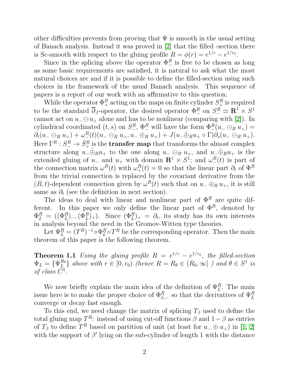other difficulties prevents from proving that  $\Psi$  is smooth in the usual setting of Banach analysis. Instead it was proved in [\[2\]](#page-26-1) that the filled -section there is Sc-smooth with respect to the gluing profile  $R = \phi(r) = e^{1/r} - e^{1/r_0}$ .

Since in the splicing above the operator  $\Phi^R_-$  is free to be chosen as long as some basic requirements are satisfied, it is natural to ask what the most natural choices are and if it is possible to define the filled-section using such choices in the framework of the usual Banach analysis. This sequence of papers is a report of our work with an affirmative to this question.

While the operator  $\Phi_{+}^{R}$  acting on the maps on finite cylinder  $S_{+}^{R}$  is required to be the standard  $\overline{\partial}_J$ -operator, the desired operator  $\Phi^R_-$  on  $S^R_- \simeq \mathbb{R}^1 \times S^1$ cannot act on  $u_-\ominus u_+$  alone and has to be nonlinear (comparing with [\[2\]](#page-26-1)). In cylindrical coordinated  $(t, s)$  on  $S_{-}^R$ ,  $\Phi_{-}^R$  will have the form  $\Phi_{-}^R(u_{-} \ominus_R u_{+}) =$  $\partial_t(u_-\ominus_R u_+)+\omega^R_-(t)(u_-\ominus_R u_+,u_-\oplus_R u_+)+J(u_-\hat\oplus_R u_+\circ\Gamma)\partial_s(u_-\ominus_R u_+).$ Here  $\Gamma^R: S^R_-\to \hat{S}^R_+$  is the **transfer map** that transforms the almost complex structure along  $u_-\hat{\oplus}_R u_+$  to the one along  $u_-\ominus_R u_+$ , and  $u_-\hat{\oplus}_R u_+$  is the extended gluing of  $u_-\equiv u_+$  with domain  $\mathbb{R}^1 \times S^1$ ; and  $\omega_-^R(t)$  is part of the connection matrix  $\omega^R(t)$  with  $\omega^R_+(t) = 0$  so that the linear part  $\partial_t$  of  $\Phi^R$ from the trivial connection is replaced by the covariant derivative from the  $(R, t)$ -dependent connection given by  $\omega^{R}(t)$  such that on  $u_{-} \oplus_{R} u_{+}$ , it is still same as  $\partial_t$  (see the definition in next section).

The ideas to deal with linear and nonlinear part of  $\Phi^R$  are quite different. In this paper we only define the linear part of  $\Phi^R$ , denoted by  $\Phi_L^R = ((\Phi_L^R)_{-}, (\Phi_L^R)_{+})$ . Since  $(\Phi_L^R)_{+} = \partial_t$ , its study has its own interests in analysis beyond the need in the Gromov-Witten type theories.

Let  $\Psi_L^R = (T^R)^{-1} \circ \Phi_L^R$  $_L^R \circ T^R$  be the corresponding operator. Then the main theorem of this paper is the following theorem.

**Theorem 1.1** Using the gluing profile  $R = e^{1/r} - e^{1/r_0}$ , the filled-section  $\Psi_L = \{ \Psi_L^{R_\theta}$  $\{R_{\theta}}_{L} \}$  above with  $r \in [0, r_0)$  (hence  $R = R_{\theta} \in (R_0, \infty]$  ) and  $\theta \in S^1$  is of class  $C^1$ .

We now briefly explain the main idea of the definition of  $\Psi_L^R$ . The main issue here is to make the proper choice of  $\Phi_{L,-}^R$  so that the derivatives of  $\Psi_L^R$ converge or decay fast enough.

To this end, we need change the matrix of splicing  $T_\beta$  used to define the total gluing map  $T^R$ : instead of using cut-off functions  $\beta$  and  $1-\beta$  as entries of  $T_\beta$  to define  $T^R$  based on partition of unit (at least for  $u_-\oplus u_+$ ) in [\[1,](#page-26-0) [2\]](#page-26-1) with the support of  $\beta'$  lying on the sub-cylinder of length 1 with the distance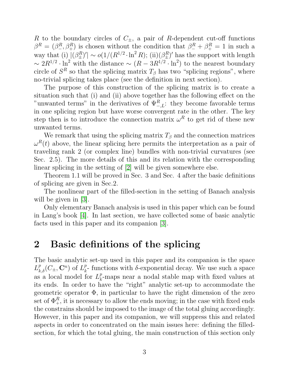R to the boundary circles of  $C_{+}$ , a pair of R-dependent cut-off functions  $\beta^R = (\beta^R_-, \beta^R_+)$  is chosen without the condition that  $\beta^R_- + \beta^R_+ = 1$  in such a way that (i)  $|(\beta_{\pm}^R)'| \sim o(1/(R^{1/2} \cdot \ln^2 R))$ ; (ii) $(\beta_{\pm}^R)'$  has the support with length  $\sim 2R^{1/2} \cdot \ln^2$  with the distance  $\sim (R - 3R^{1/2} \cdot \ln^2)$  to the nearest boundary circle of  $S<sup>R</sup>$  so that the splicing matrix  $T<sub>\beta</sub>$  has two "splicing regions", where no-trivial splicing takes place (see the definition in next section).

The purpose of this construction of the splicing matrix is to create a situation such that (i) and (ii) above together has the following effect on the "unwanted terms" in the derivatives of  $\Psi_{-,L}^R$ : they become favorable terms in one splicing region but have worse convergent rate in the other. The key step then is to introduce the connection matrix  $\omega^R$  to get rid of these new unwanted terms.

We remark that using the splicing matrix  $T_\beta$  and the connection matrices  $\omega^{R}(t)$  above, the linear splicing here permits the interpretation as a pair of traveling rank 2 (or complex line) bundles with non-trivial curvatures (see Sec. 2.5). The more details of this and its relation with the corresponding linear splicing in the setting of [\[2\]](#page-26-1) will be given somewhere else.

Theorem 1.1 will be proved in Sec. 3 and Sec. 4 after the basic definitions of splicing are given in Sec.2.

The nonlinear part of the filled-section in the setting of Banach analysis will be given in  $|3|$ .

Only elementary Banach analysis is used in this paper which can be found in Lang's book [\[4\]](#page-26-3). In last section, we have collected some of basic analytic facts used in this paper and its companion [\[3\]](#page-26-2).

## 2 Basic definitions of the splicing

The basic analytic set-up used in this paper and its companion is the space  $L_{k,\delta}^p(C_\pm,\mathbf{C}^n)$  of  $L_k^p$  $_{k}^{p}$ - functions with  $\delta$ -exponential decay. We use such a space as a local model for  $L_k^p$  $_{k}^{p}$ -maps near a nodal stable map with fixed values at its ends. In order to have the "right" analytic set-up to accommodate the geometric operator  $\Phi$ , in particular to have the right dimension of the zero set of  $\Phi_{+}^{R}$ , it is necessary to allow the ends moving; in the case with fixed ends the constrains should be imposed to the image of the total gluing accordingly. However, in this paper and its companion, we will suppress this and related aspects in order to concentrated on the main issues here: defining the filledsection, for which the total gluing, the main construction of this section only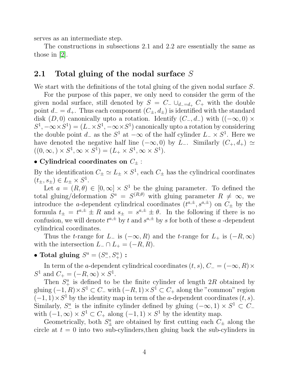serves as an intermediate step.

The constructions in subsections 2.1 and 2.2 are essentially the same as those in [\[2\]](#page-26-1).

## 2.1 Total gluing of the nodal surface S

We start with the definitions of the total gluing of the given nodal surface S.

For the purpose of this paper, we only need to consider the germ of the given nodal surface, still denoted by  $S = C_-\cup_{d_-=d_+} C_+$  with the double point  $d_ - = d_+$ . Thus each component  $(C_{\pm}, d_{\pm})$  is identified with the standard disk (D, 0) canonically upto a rotation. Identify  $(C_-, d_-)$  with  $((-\infty, 0) \times$  $S^1, -\infty \times S^1$  =  $(L_-\times S^1, -\infty \times S^1)$  canonically upto a rotation by considering the double point  $d_{-}$  as the  $S^1$  at  $-\infty$  of the half cylinder  $L_{-} \times S^1$ . Here we have denoted the negative half line  $(-\infty, 0)$  by L<sub>-</sub>. Similarly  $(C_+, d_+) \simeq$  $((0, \infty, ) \times S^1, \infty \times S^1) = (L_+ \times S^1, \infty \times S^1).$ 

## • Cylindrical coordinates on  $C_{\pm}$ :

By the identification  $C_{\pm} \simeq L_{\pm} \times S^1$ , each  $C_{\pm}$  has the cylindrical coordinates  $(t_{\pm}, s_{\pm}) \in L_{\pm} \times S^1$ .

Let  $a = (R, \theta) \in [0, \infty] \times S^1$  be the gluing parameter. To defined the total gluing/deformation  $S^a = S^{(R,\theta)}$  with gluing parameter  $R \neq \infty$ , we introduce the *a*-dependent cylindrical coordinates  $(t^{a,\pm}, s^{a,\pm})$  on  $C_{\pm}$  by the formula  $t_{\pm} = t^{a,\pm} \pm R$  and  $s_{\pm} = s^{a,\pm} \pm \theta$ . In the following if there is no confusion, we will denote  $t^{a,\pm}$  by t and  $s^{a,\pm}$  by s for both of these a-dependent cylindrical coordinates.

Thus the t-range for  $L_-\$  is  $(-\infty, R)$  and the t-range for  $L_+\$  is  $(-R, \infty)$ with the intersection  $L_-\cap L_+ = (-R, R)$ .

## • Total gluing  $S^a = (S^a_-, S^a_+)$ :

In term of the a-dependent cylindrical coordinates  $(t, s)$ ,  $C_ = (-\infty, R) \times$  $S^1$  and  $C_+ = (-R, \infty) \times S^1$ .

Then  $S^a_+$  is defined to be the finite cylinder of length  $2R$  obtained by gluing  $(-1, R) \times S^1 \subset C_-\$  with  $(-R, 1) \times S^1 \subset C_+$  along the "common" region  $(-1, 1) \times S<sup>1</sup>$  by the identity map in term of the a-dependent coordinates  $(t, s)$ . Similarly,  $S^a_-$  is the infinite cylinder defined by gluing  $(-\infty, 1) \times S^1 \subset C^$ with  $(-1, \infty) \times S^1 \subset C_+$  along  $(-1, 1) \times S^1$  by the identity map.

Geometrically, both  $S^a_{\pm}$  are obtained by first cutting each  $C_{\pm}$  along the circle at  $t = 0$  into two sub-cylinders, then gluing back the sub-cylinders in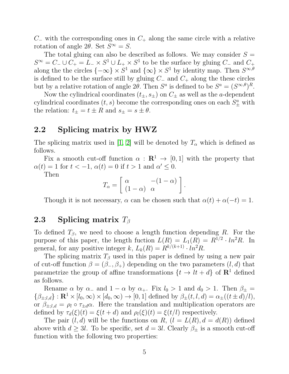$C_$  with the corresponding ones in  $C_+$  along the same circle with a relative rotation of angle 2 $\theta$ . Set  $S^{\infty} = S$ .

The total gluing can also be described as follows. We may consider  $S =$  $S^{\infty} = C_{-} \cup C_{+} = L_{-} \times S^{1} \cup L_{+} \times S^{1}$  to be the surface by gluing  $C_{-}$  and  $C_{+}$ along the the circles  ${-\infty} \times S^1$  and  ${\infty} \times S^1$  by identity map. Then  $S^{\infty,\theta}$ is defined to be the surface still by gluing  $C_-\$  and  $C_+$  along the these circles but by a relative rotation of angle 2 $\theta$ . Then  $S^a$  is defined to be  $S^a = (S^{\infty,\theta})^R$ .

Now the cylindrical coordinates  $(t_{\pm}, s_{\pm})$  on  $C_{\pm}$  as well as the *a*-dependent cylindrical coordinates  $(t, s)$  become the corresponding ones on each  $S^a_{\pm}$  with the relation:  $t_{\pm} = t \pm R$  and  $s_{\pm} = s \pm \theta$ .

## 2.2 Splicing matrix by HWZ

The splicing matrix used in [\[1,](#page-26-0) [2\]](#page-26-1) will be denoted by  $T_{\alpha}$  which is defined as follows.

Fix a smooth cut-off function  $\alpha : \mathbb{R}^1 \to [0,1]$  with the property that  $\alpha(t) = 1$  for  $t < -1$ ,  $\alpha(t) = 0$  if  $t > 1$  and  $\alpha' \leq 0$ .

Then

$$
T_{\alpha} = \left[ \begin{array}{cc} \alpha & -(1-\alpha) \\ (1-\alpha) & \alpha \end{array} \right].
$$

Though it is not necessary,  $\alpha$  can be chosen such that  $\alpha(t) + \alpha(-t) = 1$ .

## 2.3 Splicing matrix  $T_\beta$

To defined  $T_\beta$ , we need to choose a length function depending R. For the purpose of this paper, the length fuction  $L(R) = L_1(R) = R^{1/2} \cdot ln^2 R$ . In general, for any positive integer k,  $L_k(R) = R^{k/(k+1)} \cdot ln^2 R$ .

The splicing matrix  $T_\beta$  used in this paper is defined by using a new pair of cut-off function  $\beta = (\beta_-, \beta_+)$  depending on the two parameters  $(l, d)$  that parametrize the group of affine transformations  $\{t \to lt + d\}$  of  $\mathbb{R}^1$  defined as follows.

Rename  $\alpha$  by  $\alpha_-\$  and  $1-\alpha$  by  $\alpha_+$ . Fix  $l_0 > 1$  and  $d_0 > 1$ . Then  $\beta_{\pm} =$  $\{\beta_{\pm;l,d}\}: \mathbf{R}^1 \times [l_0,\infty) \times [d_0,\infty) \to [0,1]$  defined by  $\beta_{\pm}(t,l,d) = \alpha_{\pm}((t \pm d)/l),$ or  $\beta_{\pm;l,d} = \rho_l \circ \tau_{\pm d} \alpha$ . Here the translation and multiplication operators are defined by  $\tau_d(\xi)(t) = \xi(t + d)$  and  $\rho_l(\xi)(t) = \xi(t/l)$  respectively.

The pair  $(l, d)$  will be the functions on R,  $(l = L(R), d = d(R))$  defined above with  $d \geq 3l$ . To be specific, set  $d = 3l$ . Clearly  $\beta_{\pm}$  is a smooth cut-off function with the following two properties: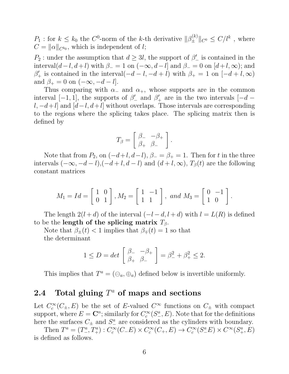$P_1$ : for  $k \leq k_0$  the  $C^0$ -norm of the k-th derivative  $\|\beta_{\pm}^{(k)}\|_{C^0} \leq C/l^k$ , where  $C = ||\alpha||_{C^{k_0}}$ , which is independent of *l*;

 $P_2$ : under the assumption that  $d \geq 3l$ , the support of  $\beta'$  is contained in the interval $(d-l, d+l)$  with  $\beta = 1$  on  $(-\infty, d-l]$  and  $\beta = 0$  on  $[d+l, \infty)$ ; and  $\beta'_{+}$  is contained in the interval( $-d-l$ ,  $-d+l$ ) with  $\beta_{+}=1$  on  $[-d+l,\infty)$ and  $\beta_+ = 0$  on  $(-\infty, -d-l]$ .

Thus comparing with  $\alpha_-\$  and  $\alpha_+$ , whose supports are in the common interval  $[-1, 1]$ , the supports of  $\beta'$  and  $\beta'$  are in the two intervals  $[-d$  $l, -d+l$  and  $[d-l, d+l]$  without overlaps. Those intervals are corresponding to the regions where the splicing takes place. The splicing matrix then is defined by

$$
T_{\beta} = \left[ \begin{array}{cc} \beta_- & -\beta_+ \\ \beta_+ & \beta_- \end{array} \right].
$$

Note that from  $P_2$ , on  $(-d+l, d-l)$ ,  $\beta_-\beta_+ = 1$ . Then for t in the three intervals  $(-\infty, -d-l)$ , $(-d+l, d-l)$  and  $(d+l, \infty)$ ,  $T_\beta(t)$  are the following constant matrices

$$
M_1 = Id = \begin{bmatrix} 1 & 0 \\ 0 & 1 \end{bmatrix}, M_2 = \begin{bmatrix} 1 & -1 \\ 1 & 1 \end{bmatrix}, \text{ and } M_3 = \begin{bmatrix} 0 & -1 \\ 1 & 0 \end{bmatrix}.
$$

The length  $2(l + d)$  of the interval  $(-l - d, l + d)$  with  $l = L(R)$  is defined to be the length of the splicing matrix  $T_{\beta}$ .

Note that  $\beta_{\pm}(t) < 1$  implies that  $\beta_{\mp}(t) = 1$  so that the determinant

$$
1 \le D = det \begin{bmatrix} \beta_- & -\beta_+ \\ \beta_+ & \beta_- \end{bmatrix} = \beta_-^2 + \beta_+^2 \le 2.
$$

This implies that  $T^a = (\ominus_a, \oplus_a)$  defined below is invertible uniformly.

## 2.4 Total gluing  $T^a$  of maps and sections

Let  $C_c^{\infty}$  $c_c^{\infty}(C_{\pm}, E)$  be the set of E-valued  $C^{\infty}$  functions on  $C_{\pm}$  with compact support, where  $E = \mathbb{C}^n$ ; similarly for  $C_c^{\infty}$  $c^{\infty}_c(S^a_-, E)$ . Note that for the definitions here the surfaces  $C_{\pm}$  and  $S_{-}^{a}$  are considered as the cylinders with boundary.

Then  $T^a = (T^a_-, T^a_+) : C_c^{\infty}$  $c^{\infty}(C_{-}E) \times C_c^{\infty}$  $c^{\infty}_c(C_+, E) \to C_c^{\infty}$  $c^{\infty}(S^a_-E) \times C^{\infty}(S^a_+, E)$ is defined as follows.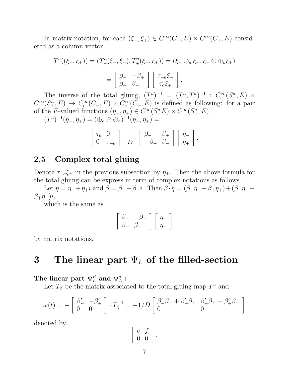In matrix notation, for each  $(\xi_-, \xi_+) \in C^{\infty}(C_-, E) \times C^{\infty}(C_+, E)$  considered as a column vector,

$$
T^{a}((\xi_{-},\xi_{+})) = (T^{a}_{-}(\xi_{-},\xi_{+}), T^{a}_{+}(\xi_{-},\xi_{+})) = (\xi_{-} \ominus_{a} \xi_{+}, \xi_{-} \oplus \oplus_{a} \xi_{+})
$$
  
= 
$$
\begin{bmatrix} \beta_{-} & -\beta_{+} \\ \beta_{+} & \beta_{-} \end{bmatrix} \begin{bmatrix} \tau_{-a}\xi_{-} \\ \tau_{a}\xi_{+} \end{bmatrix}.
$$

The inverse of the total gluing,  $(T^a)^{-1} = (T^a_-, T^a_+)^{-1} : C_c^{\infty}$  $c^{\infty}(S^a_-, E) \times$  $C^{\infty}(S^a_+, E) \rightarrow C_c^{\infty}$  $c^{\infty}(C_-, E) \times C_c^{\infty}$  $c^{\infty}(C_{+}, E)$  is defined as following: for a pair of the E-valued functions  $(\eta_-, \eta_+) \in C^{\infty}(S^a_- E) \times C^{\infty}(S^a_+, E)$ ,

 $(T^a)^{-1}(\eta_-, \eta_+) = (\oplus_a \oplus \ominus_a)^{-1}(\eta_-, \eta_+) =$ 

$$
\left[\begin{array}{cc} \tau_a & 0 \\ 0 & \tau_{-a} \end{array}\right] \cdot \frac{1}{D} \cdot \left[\begin{array}{cc} \beta_- & \beta_+ \\ -\beta_+ & \beta_- \end{array}\right] \left[\begin{array}{cc} \eta_- \\ \eta_+ \end{array}\right].
$$

## 2.5 Complex total gluing

Denote  $\tau_{-a}\xi_{\pm}$  in the previous subsection by  $\eta_{\pm}$ . Then the above formula for the total gluing can be express in term of complex notations as follows.

Let  $\eta = \eta_- + \eta_+ i$  and  $\beta = \beta_- + \beta_+ i$ . Then  $\beta \cdot \eta = (\beta_-\eta_- - \beta_+\eta_+) + (\beta_-\eta_+ + \beta_-\eta_-)$  $\beta_+\eta_-)i,$ 

which is the same as

$$
\left[\begin{array}{cc} \beta_- & -\beta_+ \\ \beta_+ & \beta_- \end{array}\right] \left[\begin{array}{c} \eta_- \\ \eta_+ \end{array}\right]
$$

by matrix notations.

## 3 The linear part  $\Psi_L$  of the filled-section

The linear part  $\Psi^R_L$  and  $\Psi^a_L$  :

Let  $T_\beta$  be the matrix associated to the total gluing map  $T^a$  and

$$
\omega(t) = -\begin{bmatrix} \beta'_- & -\beta'_+ \\ 0 & 0 \end{bmatrix} \cdot T_{\beta}^{-1} = -1/D \begin{bmatrix} \beta'_- \beta_- + \beta'_+ \beta_+ & \beta'_- \beta_+ - \beta'_+ \beta_- \\ 0 & 0 \end{bmatrix}
$$

denoted by

$$
\left[\begin{array}{cc} e & f \\ 0 & 0 \end{array}\right].
$$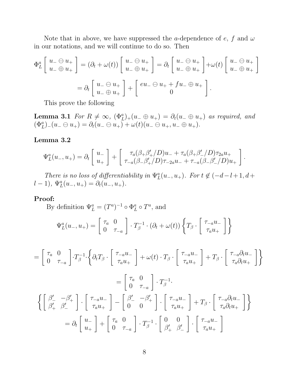Note that in above, we have suppressed the a-dependence of  $e$ ,  $f$  and  $\omega$ in our notations, and we will continue to do so. Then

$$
\Phi_L^a \left[ \begin{array}{c} u_- \ominus u_+ \\ u_- \oplus u_+ \end{array} \right] = (\partial_t + \omega(t)) \left[ \begin{array}{c} u_- \ominus u_+ \\ u_- \oplus u_+ \end{array} \right] = \partial_t \left[ \begin{array}{c} u_- \ominus u_+ \\ u_- \oplus u_+ \end{array} \right] + \omega(t) \left[ \begin{array}{c} u_- \ominus u_+ \\ u_- \oplus u_+ \end{array} \right]
$$

$$
= \partial_t \left[ \begin{array}{c} u_- \ominus u_+ \\ u_- \oplus u_+ \end{array} \right] + \left[ \begin{array}{c} eu_- \ominus u_+ + fu_- \oplus u_+ \\ 0 \end{array} \right].
$$

This prove the following

**Lemma 3.1** For  $R \neq \infty$ ,  $(\Phi_L^a)_+(u_-\oplus u_+) = \partial_t(u_-\oplus u_+)$  as required, and  $(\Phi_L^a)_{-}(u_-\ominus u_+) = \partial_t(u_-\ominus u_+) + \omega(t)(u_-\ominus u_+, u_-\oplus u_+).$ 

### Lemma 3.2

$$
\Psi_L^a(u_-, u_+) = \partial_t \begin{bmatrix} u_- \\ u_+ \end{bmatrix} + \begin{bmatrix} \tau_a(\beta_+\beta_+'/D)u_- + \tau_a(\beta_+\beta_-'/D)\tau_{2a}u_+ \\ \tau_{-a}(\beta_-\beta_+'/D)\tau_{-2a}u_- + \tau_{-a}(\beta_-\beta_-'/D)u_+ \end{bmatrix}.
$$

There is no loss of differentiability in  $\Psi_L^a(u_-, u_+)$ . For  $t \notin (-d-l+1, d+1)$  $(l-1), \Psi_L^a(u_-,u_+) = \partial_t(u_-,u_+).$ 

### Proof:

By definition  $\Psi_L^a = (T^a)^{-1} \circ \Phi_L^a$  $_L^a \circ T^a$ , and

$$
\Psi^a_L(u_-, u_+) = \begin{bmatrix} \tau_a & 0 \\ 0 & \tau_{-a} \end{bmatrix} \cdot T_\beta^{-1} \cdot (\partial_t + \omega(t)) \left\{ T_\beta \cdot \begin{bmatrix} \tau_{-a} u_- \\ \tau_a u_+ \end{bmatrix} \right\}
$$

$$
= \begin{bmatrix} \tau_a & 0 \\ 0 & \tau_{-a} \end{bmatrix} \cdot T_{\beta}^{-1} \cdot \left\{ \partial_t T_{\beta} \cdot \begin{bmatrix} \tau_{-a} u_{-} \\ \tau_a u_{+} \end{bmatrix} + \omega(t) \cdot T_{\beta} \cdot \begin{bmatrix} \tau_{-a} u_{-} \\ \tau_a u_{+} \end{bmatrix} + T_{\beta} \cdot \begin{bmatrix} \tau_{-a} \partial_t u_{-} \\ \tau_a \partial_t u_{+} \end{bmatrix} \right\}
$$

$$
= \begin{bmatrix} \tau_a & 0 \\ 0 & \tau_{-a} \end{bmatrix} \cdot T_{\beta}^{-1}.
$$

$$
\left\{ \begin{bmatrix} \beta_{-}^{\prime} & -\beta_{+}^{\prime} \\ \beta_{+}^{\prime} & \beta_{-}^{\prime} \end{bmatrix} \cdot \begin{bmatrix} \tau_{-a} u_{-} \\ \tau_a u_{+} \end{bmatrix} - \begin{bmatrix} \beta_{-}^{\prime} & -\beta_{+}^{\prime} \\ 0 & 0 \end{bmatrix} \cdot \begin{bmatrix} \tau_{-a} u_{-} \\ \tau_a u_{+} \end{bmatrix} + T_{\beta} \cdot \begin{bmatrix} \tau_{-a} \partial_t u_{-} \\ \tau_a \partial_t u_{+} \end{bmatrix} \right\}
$$

$$
= \partial_t \begin{bmatrix} u_{-} \\ u_{+} \end{bmatrix} + \begin{bmatrix} \tau_a & 0 \\ 0 & \tau_{-a} \end{bmatrix} \cdot T_{\beta}^{-1} \cdot \begin{bmatrix} 0 & 0 \\ \beta_{+}^{\prime} & \beta_{-}^{\prime} \end{bmatrix} \cdot \begin{bmatrix} \tau_{-a} u_{-} \\ \tau_a u_{+} \end{bmatrix}
$$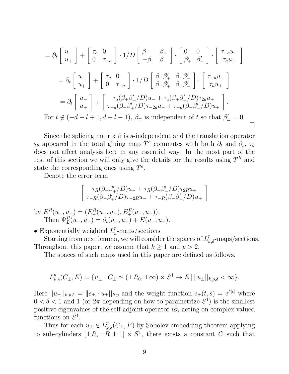$$
= \partial_t \begin{bmatrix} u_- \\ u_+ \end{bmatrix} + \begin{bmatrix} \tau_a & 0 \\ 0 & \tau_{-a} \end{bmatrix} \cdot 1/D \begin{bmatrix} \beta_- & \beta_+ \\ -\beta_+ & \beta_- \end{bmatrix} \cdot \begin{bmatrix} 0 & 0 \\ \beta'_+ & \beta'_- \end{bmatrix} \cdot \begin{bmatrix} \tau_{-a}u_- \\ \tau_a u_+ \end{bmatrix}
$$
  
\n
$$
= \partial_t \begin{bmatrix} u_- \\ u_+ \end{bmatrix} + \begin{bmatrix} \tau_a & 0 \\ 0 & \tau_{-a} \end{bmatrix} \cdot 1/D \begin{bmatrix} \beta_+ \beta'_+ & \beta_+ \beta'_- \\ \beta_- \beta'_+ & \beta_- \beta'_- \end{bmatrix} \cdot \begin{bmatrix} \tau_{-a}u_- \\ \tau_a u_+ \end{bmatrix}
$$
  
\n
$$
= \partial_t \begin{bmatrix} u_- \\ u_+ \end{bmatrix} + \begin{bmatrix} \tau_a(\beta_+ \beta'_+ / D)u_- + \tau_a(\beta_+ \beta'_- / D) \tau_{2a}u_+ \\ \tau_{-a}(\beta_- \beta'_+ / D) \tau_{-2a}u_- + \tau_{-a}(\beta_- \beta'_- / D)u_+ \end{bmatrix}.
$$
  
\nFor  $t \notin (-d - l + 1, d + l - 1)$ ,  $\beta_{\pm}$  is independent of  $t$  so that  $\beta'_{\pm} = 0$ .

Since the splicing matrix  $\beta$  is s-independent and the translation operator  $\tau_{\theta}$  appeared in the total gluing map  $T^a$  commutes with both  $\partial_t$  and  $\partial_s$ ,  $\tau_{\theta}$ does not affect analysis here in any essential way. In the most part of the rest of this section we will only give the details for the results using  $T^R$  and state the corresponding ones using  $T^a$ .

Denote the error term

$$
\begin{bmatrix}\n\tau_R(\beta_+\beta_+'/D)u_- + \tau_R(\beta_+\beta_-'/D)\tau_{2R}u_+ \\
\tau_{-R}(\beta_-\beta_+'/D)\tau_{-2R}u_- + \tau_{-R}(\beta_-\beta_-'/D)u_+\n\end{bmatrix}
$$

by  $E^R(u_-, u_+) = (E^R_-(u_-, u_+), E^R_+(u_-, u_+)).$ Then  $\Psi_L^R(u_-, u_+) = \partial_t(u_-, u_+) + E(u_-, u_+).$ 

• Exponentially weighted  $L_k^p$  $k_{k}^p$ -maps/sections

Starting from next lemma, we will consider the spaces of  $L^p_{k,\delta}$ -maps/sections. Throughout this paper, we assume that  $k \geq 1$  and  $p > 2$ .

The spaces of such maps used in this paper are defined as follows.

$$
L_{k,\delta}^p(C_{\pm}, E) = \{u_{\pm} : C_{\pm} \simeq (\pm R_0, \pm \infty) \times S^1 \to E \mid ||u_{\pm}||_{k,p,\delta} < \infty \}.
$$

Here  $||u_{\pm}||_{k,p,\delta} = ||e_{\pm} \cdot u_{\pm}||_{k,p}$  and the weight function  $e_{\pm}(t,s) = e^{\delta |t|}$  where  $0 < \delta < 1$  and 1 (or  $2\pi$  depending on how to parametrize  $S^1$ ) is the smallest positive eigenvalues of the self-adjoint operator  $i\partial_s$  acting on complex valued functions on  $S^1$ .

Thus for each  $u_{\pm} \in L_{k,\delta}^p(C_{\pm}, E)$  by Sobolev embedding theorem applying to sub-cylinders  $[\pm R, \pm R \pm 1] \times S^1$ , there exists a constant C such that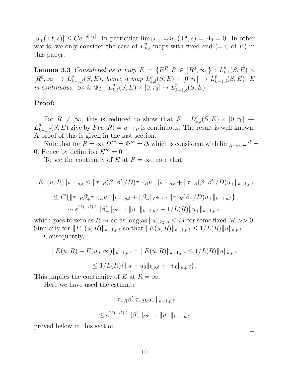$|u_+(\pm t,s)| \leq Ce^{-\delta |\pm t|}$ . In particular  $\lim_{\pm t \to \pm \infty} u_+(\pm t,s) = A_0 = 0$ . In other words, we only consider the case of  $L^p_{k,\delta}$ -maps with fixed end (= 0 of E) in this paper.

**Lemma 3.3** Considered as a map  $E = \{E^R, R \in [R^0, \infty]\}$  :  $L^p_{k,\delta}(S, E) \times$  $[R^0,\infty] \to L_{k-1,\delta}^p(S,E)$ , hence a map  $L_{k,\delta}^p(S,E) \times [0,r_0] \to L_{k-1,\delta}^p(S,E)$ , E is continuous. So is  $\Psi_L: L^p_{k,\delta}(S, E) \times [0, r_0] \to L^p_{k-1,\delta}(S, E)$ .

### Proof:

For  $R \neq \infty$ , this is reduced to show that  $F : L^p_{k,\delta}(S, E) \times [0, r_0] \rightarrow$  $L_{k-1,\delta}^p(S, E)$  give by  $F(u, R) = u \circ \tau_R$  is continuous. The result is well-known. A proof of this is given in the last section.

Note that for  $R = \infty$ ,  $\Psi^{\infty} = \Phi^{\infty} = \partial_t$  which is consistent with  $\lim_{R\to\infty} \omega^R =$ 0. Hence by definition  $E^{\infty} = 0$ .

To see the continuity of E at  $R = \infty$ , note that

$$
||E_{+}(u,R)||_{k-1,p,\delta} \le ||\tau_{-R}(\beta_{-}\beta'_{+}/D)\tau_{-2R}u_{-}||_{k-1,p,\delta} + ||\tau_{-R}(\beta_{-}\beta'_{-}/D)u_{+}||_{k-1,p,\delta}
$$
  
\n
$$
\le C\{||\tau_{-R}\beta'_{+}\tau_{-2R}u_{-}||_{k-1,p,\delta} + ||\beta'_{-}||_{C^{k-1}} \cdot ||\tau_{-R}(\beta_{-}/D)u_{+}||_{k-1,p,\delta}\}\n\n\sim e^{2\delta(-d+l)}||\beta'_{+}||_{C^{k-1}} \cdot ||u_{-}||_{k-1,p,\delta} + 1/L(R)||u_{+}||_{k-1,p,\delta},
$$

which goes to zero as  $R \to \infty$  as long as  $||u||_{k,p,\delta} \leq M$  for some fixed  $M >> 0$ . Similarly for  $||E_-(u, R)||_{k-1,p,\delta}$  so that  $||E(u, R)||_{k-1,p,\delta} \leq 1/L(R)||u||_{k,p,\delta}$ .

Consequently,

$$
||E(u, R) - E(u_0, \infty)||_{k-1, p, \delta} = ||E(u, R)||_{k-1, p, \delta} \le 1/L(R)||u||_{k, p, \delta}
$$
  

$$
\le 1/L(R)\{||u - u_0||_{k, p, \delta} + ||u_0||_{k, p, \delta}\}.
$$

This implies the continuity of E at  $R = \infty$ .

Here we have used the estimate

$$
\|\tau_{-R}\beta'_{+}\tau_{-2R}u_{-}\|_{k-1,p,\delta}
$$
  

$$
\leq e^{2\delta(-d+l)}\|\beta'_{+}\|_{C^{k-1}}\cdot\|u_{-}\|_{k-1,p,\delta}
$$

proved below in this section.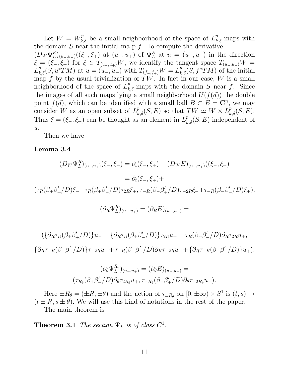Let  $W = W_{k,\delta}^p$  be a small neighborhood of the space of  $L_{k,\delta}^p$ -maps with the domain  $S$  near the initial map  $f$ . To compute the derivative  $(D_W\Psi_L^R)_{(u_-,u_+)}((\xi_-, \xi_+)$  at  $(u_-, u_+)$  of  $\Psi_L^R$  at  $u = (u_-, u_+)$  in the direction  $\xi = (\xi_-, \xi_+)$  for  $\xi \in T_{(u_-,u_+)}W$ , we identify the tangent space  $T_{(u_-,u_+)}W =$  $L^p_{k,\delta}(S, u^*TM)$  at  $u = (u_-, u_+)$  with  $T_{(f_-, f_+)}W = L^p_{k,\delta}(S, f^*TM)$  of the initial map f by the usual trivialization of  $\overline{T}W$ . In fact in our case, W is a small neighborhood of the space of  $L^p_{k,\delta}$ -maps with the domain S near f. Since the images of all such maps lying a small neighborhood  $U(f(d))$  the double point  $f(d)$ , which can be identified with a small ball  $B \subset E = \mathbb{C}^n$ , we may consider W as an open subset of  $L^p_{k,\delta}(S, E)$  so that  $TW \simeq W \times L^p_{k,\delta}(S, E)$ . Thus  $\xi = (\xi_-, \xi_+)$  can be thought as an element in  $L^p_{k,\delta}(S, E)$  independent of  $u$ .

Then we have

#### Lemma 3.4

$$
(D_W \Psi_L^R)_{(u_-,u_+)}(\xi_-, \xi_+) = \partial_t(\xi_-, \xi_+) + (D_W E)_{(u_-,u_+)}((\xi_-, \xi_+))
$$
  
=  $\partial_t(\xi_-, \xi_+) +$   

$$
(\tau_R(\beta_+\beta_+'/D)\xi_- + \tau_R(\beta_+\beta_-'/D)\tau_{2R}\xi_+, \tau_{-R}(\beta_-\beta_+'/D)\tau_{-2R}\xi_- + \tau_{-R}(\beta_-\beta_-'/D)\xi_+).
$$

$$
(\partial_R \Psi_L^R)_{(u_-,u_+)} = (\partial_R E)_{(u_-,u_+)} =
$$

$$
(\{\partial_R \tau_R(\beta_+\beta'_+/D)\}u_- + \{\partial_R \tau_R(\beta_+\beta'_-/D)\}\tau_{2R}u_+ + \tau_R(\beta_+\beta'_-/D)\partial_R \tau_{2R}u_+,
$$
  

$$
\{\partial_R \tau_{-R}(\beta_-\beta'_+/D)\}\tau_{-2R}u_- + \tau_{-R}(\beta_-\beta'_+/D)\partial_R \tau_{-2R}u_- + \{\partial_R \tau_{-R}(\beta_-\beta'_-/D)\}u_+).
$$

$$
(\partial_{\theta} \Psi_L^{R_{\theta}})_{(u_-,u_+)} = (\partial_{\theta} E)_{(u_-,u_+)} =
$$

$$
(\tau_{R_{\theta}}(\beta_+\beta_-'/D)\partial_{\theta}\tau_{2R_{\theta}}u_+, \tau_{-R_{\theta}}(\beta_-\beta_+'/D)\partial_{\theta}\tau_{-2R_{\theta}}u_-).
$$

Here  $\pm R_{\theta} = (\pm R, \pm \theta)$  and the action of  $\tau_{\pm R_{\theta}}$  on  $[0, \pm \infty) \times S^1$  is  $(t, s) \rightarrow$  $(t \pm R, s \pm \theta)$ . We will use this kind of notations in the rest of the paper. The main theorem is

**Theorem 3.1** The section  $\Psi_L$  is of class  $C^1$ .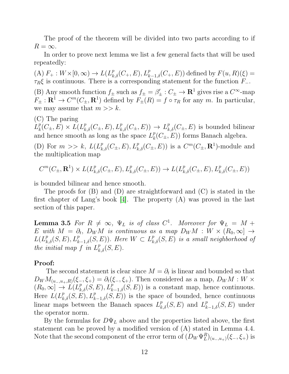The proof of the theorem will be divided into two parts according to if  $R = \infty$ .

In order to prove next lemma we list a few general facts that will be used repeatedly:

(A)  $F_+ : W \times [0, \infty) \to L(L_{k,\delta}^p(C_+, E), L_{k-1,\delta}^p(C_+, E))$  defined by  $F(u, R)(\xi) =$  $\tau_R \xi$  is continuous. There is a corresponding statement for the function  $F_-\$ .

(B) Any smooth function  $f_{\pm}$  such as  $f_{\pm} = \beta'_{\pm} : C_{\pm} \to \mathbb{R}^1$  gives rise a  $C^{\infty}$ -map  $F_{\pm}: \mathbf{R}^1 \to C^m(C_{\pm}, \mathbf{R}^1)$  defined by  $F_{\pm}(R) = f \circ \tau_R$  for any m. In particular, we may assume that  $m >> k$ .

(C) The paring

 $L^p_k$  $k(E_k(E_\pm, E) \times L(L_{k,\delta}^p(C_\pm, E), L_{k,\delta}^p(C_\pm, E)) \to L_{k,\delta}^p(C_\pm, E)$  is bounded bilinear and hence smooth as long as the space  $L_k^p$  $k(R(E_{\pm}, E))$  forms Banach algebra.

(D) For  $m \gg k$ ,  $L(L_{k,\delta}^p(C_{\pm}, E), L_{k,\delta}^p(C_{\pm}, E))$  is a  $C^m(C_{\pm}, \mathbf{R}^1)$ -module and the multiplication map

$$
C^m(C_{\pm}, \mathbf{R}^1) \times L(L^p_{k,\delta}(C_{\pm}, E), L^p_{k,\delta}(C_{\pm}, E)) \to L(L^p_{k,\delta}(C_{\pm}, E), L^p_{k,\delta}(C_{\pm}, E))
$$

is bounded bilinear and hence smooth.

The proofs for (B) and (D) are straightforward and (C) is stated in the first chapter of Lang's book [\[4\]](#page-26-3). The property (A) was proved in the last section of this paper.

**Lemma 3.5** For  $R \neq \infty$ ,  $\Psi_L$  is of class  $C^1$ . Moreover for  $\Psi_L = M +$  $E$  with  $M \,=\, \partial_t, \; D_W M \; \; is \; \emph{continuous} \; \; as \; \; a \; \emph{map} \; \; D_W M \; : \; W \times \left( R_0, \infty \right) \; \rightarrow \;$  $L(L_{k,\delta}^p(S, E), L_{k-1,\delta}^p(S, E))$ . Here  $W \subset L_{k,\delta}^p(S, E)$  is a small neighborhood of the initial map  $f$  in  $L_{k,\delta}^p(S, E)$ .

### Proof:

The second statement is clear since  $M = \partial_t$  is linear and bounded so that  $D_WM_{(u_-,u_+,R)}(\xi_-, \xi_+) = \partial_t(\xi_-, \xi_+).$  Then considered as a map,  $D_WM : W \times$  $(R_0, \infty] \to L(L_{k,\delta}^p(S, E), L_{k-1,\delta}^p(S, E))$  is a constant map, hence continuous. Here  $L(L_{k,\delta}^p(S, E), L_{k-1,\delta}^p(S, E))$  is the space of bounded, hence continuous linear maps between the Banach spaces  $L_{k,\delta}^p(S, E)$  and  $L_{k-1,\delta}^p(S, E)$  under the operator norm.

By the formulas for  $D\Psi_L$  above and the properties listed above, the first statement can be proved by a modified version of (A) stated in Lemma 4.4. Note that the second component of the error term of  $(D_W \Psi_L^R)_{(u_-,u_+)}(\xi_-, \xi_+)$  is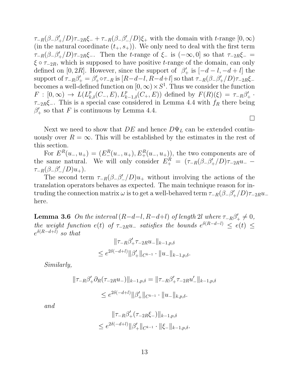$\tau_{-R}(\beta_-\beta_+'/D)\tau_{-2R}\xi_- + \tau_{-R}(\beta_-\beta_-'/D)\xi_+$  with the domain with t-range  $[0,\infty)$ (in the natural coordinate  $(t_+, s_+)$ ). We only need to deal with the first term  $\tau_{-R}(\beta_-\beta_+'/D)\tau_{-2R}\xi_-.$  Then the t-range of  $\xi_-$  is  $(-\infty,0]$  so that  $\tau_{-2R}\xi_-$  =  $\xi \circ \tau_{-2R}$ , which is supposed to have positive t-range of the domain, can only defined on [0, 2R]. However, since the support of  $\beta'_+$  is  $[-d-l, -d+l]$  the support of  $\tau_{-R}\beta'_+ = \beta'_+\circ \tau_{-R}$  is  $[R-d-l, R-d+l]$  so that  $\tau_{-R}(\beta_-\beta'_+/D)\tau_{-2R}\xi_$ becomes a well-defined function on  $[0, \infty) \times S^1$ . Thus we consider the function  $F : [0, \infty) \to L(L_{k,\delta}^p(C_-, E), L_{k-1,\delta}^p(C_+, E))$  defined by  $F(R)(\xi) = \tau_{-R}\beta'_+$ .  $\tau_{-2R}\xi_{-}$ . This is a special case considered in Lemma 4.4 with  $f_{R}$  there being  $\beta'$  so that F is continuous by Lemma 4.4.

Next we need to show that  $DE$  and hence  $D\Psi_L$  can be extended continuously over  $R = \infty$ . This will be established by the estimates in the rest of this section.

 $\Box$ 

For  $E^{R}(u_{-}, u_{+}) = (E_{-}^{R}(u_{-}, u_{+}), E_{+}^{R}(u_{-}, u_{+}))$ , the two components are of the same natural. We will only consider  $E_+^R = (\tau_{-R}(\beta_{-} \beta'_{+}/D)\tau_{-2R}u_ \tau_{-R}(\beta_{-}\beta'_{-}/D)u_{+}).$ 

The second term  $\tau_{-R}(\beta_{-}\beta'_{-}/D)u_{+}$  without involving the actions of the translation operators behaves as expected. The main technique reason for intruding the connection matrix  $\omega$  is to get a well-behaved term  $\tau_{-R}(\beta_-\beta_+'/D)\tau_{-2R}u_$ here.

**Lemma 3.6** On the interval  $(R-d-l, R-d+l)$  of length 2l where  $\tau_{-R}\beta'_+ \neq 0$ , the weight function  $e(t)$  of  $\tau_{-2R}u_{-}$  satisfies the bounds  $e^{\delta(R-d-1)} \leq e(t) \leq$  $e^{\delta(R-d+l)}$  so that

$$
\|\tau_{-R}\beta'_{+}\tau_{-2R}u_{-}\|_{k-1,p,\delta}
$$
  

$$
\leq e^{2\delta(-d+l)}\|\beta'_{+}\|_{C^{k-1}}\cdot\|u_{-}\|_{k-1,p,\delta}.
$$

Similarly,

$$
\|\tau_{-R}\beta'_{+}\partial_R(\tau_{-2R}u_{-})\|_{k-1,p,\delta} = \|\tau_{-R}\beta'_{+}\tau_{-2R}u'_{-}\|_{k-1,p,\delta}
$$
  

$$
\leq e^{2\delta(-d+l)}\|\beta'_{+}\|_{C^{k-1}} \cdot \|u_{-}\|_{k,p,\delta}.
$$

and

$$
\|\tau_{-R}\beta'_{+}(\tau_{-2R}\xi_{-})\|_{k-1,p,\delta}
$$
  

$$
\leq e^{2\delta(-d+l)}\|\beta'_{+}\|_{C^{k-1}}\cdot\|\xi_{-}\|_{k-1,p,\delta}.
$$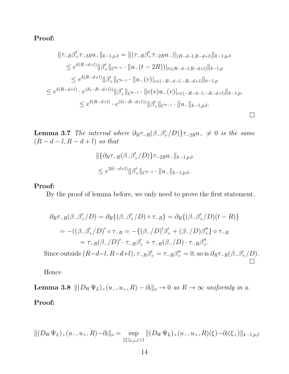$$
\|\tau_{-R}\beta'_{+}\tau_{-2R}u_{-}\|_{k-1,p,\delta} = \|(\tau_{-R}\beta'_{+}\tau_{-2R}u_{-})|_{(R-d-l,R-d+l)}\|_{k-1,p,\delta}
$$
  
\n
$$
\leq e^{\delta(R-d+l)}\|\beta'_{+}\|_{C^{k-1}} \cdot \|u_{-}(t-2R))|_{t \in (R-d-l,R-d+l)}\|_{k-1,p}
$$
  
\n
$$
\leq e^{\delta(R-d+l)}\|\beta'_{+}\|_{C^{k-1}} \cdot \|u_{-}(v)|_{v \in (-R-d-l,-R-d+l)}\|_{k-1,p}
$$
  
\n
$$
\leq e^{\delta(R-d+l)} \cdot e^{(\delta(-R-d+l))}\|\beta'_{+}\|_{C^{k-1}} \cdot \|e(v)u_{-}(v)|_{v \in (-R-d-l,-R-d+l)}\|_{k-1,p}.
$$
  
\n
$$
\leq e^{\delta(R-d+l)} \cdot e^{(\delta(-R-d+l))}\|\beta'_{+}\|_{C^{k-1}} \cdot \|u_{-}\|_{k-1,p,\delta}.
$$

**Lemma 3.7** The interval where  $\partial_R \tau_{-R}(\beta-\beta'_+/D)\}\tau_{-2R}u_-\neq 0$  is the same  $(R-d-l,R-d+l) \hskip 2mm so \hskip 2mm that$ 

$$
\begin{aligned} &\|\{\partial_R\tau_{-R}(\beta_-\beta_+'/D)\}\tau_{-2R}u_-\|_{k-1,p,\delta} \\ &\leq e^{2\delta(-d+l)}\|\beta_+' \|_{C^{k-1}}\cdot \|u_-\|_{k-1,p,\delta}.\end{aligned}
$$

### Proof:

By the proof of lemma before, we only need to prove the first statement.

$$
\partial_R \tau_{-R}(\beta_- \beta'_+/D) = \partial_R \{ (\beta_- \beta'_+/D) \circ \tau_{-R} \} = \partial_R \{ (\beta_- \beta'_+/D)(t-R) \}
$$
  
= -((\beta\_- \beta'\_+/D)' \circ \tau\_{-R} = -\{ (\beta\_- /D)'\beta'\_+ + (\beta\_- /D)\beta''\_+ \} \circ \tau\_{-R}  
= \tau\_{-R}(\beta\_- /D)' \cdot \tau\_{-R}\beta'\_+ + \tau\_{-R}(\beta\_- /D) \cdot \tau\_{-R}\beta''\_+ .

Since outside  $(R-d-l, R-d+l), \tau_{-R}\beta'_{+} = \tau_{-R}\beta''_{+} = 0$ , so is  $\partial_R \tau_{-R}(\beta_{-}\beta'_{+}/D)$ .  $\Box$ 

Hence

**Lemma 3.8**  $||(D_W \Psi_L)_+(u_-, u_+, R) - \partial_t||_o \to 0$  as  $R \to \infty$  uniformly in u.

Proof:

$$
||(D_W \Psi_L)_+(u_-, u_+, R) - \partial_t ||_o = \sup_{\|\xi\|_{k,p,\delta} \le 1} ||(D_W \Psi_L)_+(u_-, u_+, R)(\xi) - \partial_t(\xi_+)||_{k-1,p,\delta}
$$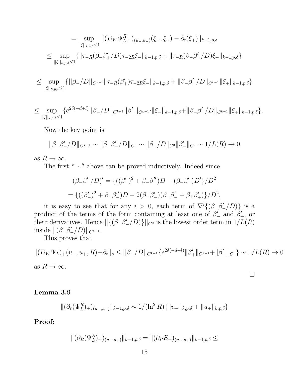$$
= \sup_{\|\xi\|_{k,p,\delta}\leq 1} \|(D_W \Psi_{L,+}^R)_{(u_-,u_+)}(\xi_-, \xi_+) - \partial_t(\xi_+) \|_{k-1,p,\delta}
$$
  

$$
\leq \sup_{\|\xi\|_{k,p,\delta}\leq 1} \{ \|\tau_{-R}(\beta_- \beta_+'/D)\tau_{-2R}\xi_-\|_{k-1,p,\delta} + \|\tau_{-R}(\beta_- \beta_-'/D)\xi_+\|_{k-1,p,\delta} \}
$$

≤ sup  $||\xi||_{k,p,\delta} \leq 1$  $\{||\beta_-/D||_{C^{k-1}}\|\tau_{-R}(\beta_+')\tau_{-2R}\xi_-\|_{k-1,p,\delta}+\|\beta_-\beta_-'/D\|_{C^{k-1}}\|\xi_+\|_{k-1,p,\delta}\}$ 

$$
\leq \sup_{\|\xi\|_{k,p,\delta}\leq 1} \{e^{2\delta(-d+l)}\|\beta_-/D\|_{C^{k-1}}\|\beta_+\|_{C^{k-1}}\cdot \|\xi_-\|_{k-1,p,\delta} + \|\beta_- \beta_-'/D\|_{C^{k-1}}\|\xi_+\|_{k-1,p,\delta}\}.
$$

Now the key point is

$$
\|\beta_{-}\beta'_{-}/D\|_{C^{k-1}} \sim \|\beta_{-}\beta'_{-}/D\|_{C^{0}} \sim \|\beta_{-}/D\|_{C^{0}}\|\beta'_{-}\|_{C^{0}} \sim 1/L(R) \to 0
$$

as  $R \to \infty$ .

The first " ∼″ above can be proved inductively. Indeed since

$$
(\beta_{-}\beta'_{-}/D)' = \{((\beta'_{-})^{2} + \beta_{-}\beta''_{-})D - (\beta_{-}\beta'_{-})D'\}/D^{2}
$$
  
= 
$$
\{((\beta'_{-})^{2} + \beta_{-}\beta''_{-})D - 2(\beta_{-}\beta'_{-})(\beta_{-}\beta'_{-} + \beta_{+}\beta'_{+})\}/D^{2},
$$

it is easy to see that for any  $i > 0$ , each term of  $\nabla^i \{(\beta-\beta_-^{\prime}/D)\}\$ is a product of the terms of the form containing at least one of  $\beta'$  and  $\beta'$ , or their derivatives. Hence  $||{ ({{(\beta_{-\beta}'_{-}}/D) }}||_{C^0}$  is the lowest order term in  $1/L(R)$ inside  $\|(\beta_-\beta_-'/D)\|_{C^{k-1}}$ .

This proves that

$$
||(D_W\Psi_L)_+(u_-,u_+,R)-\partial_t||_o \leq ||\beta_-/D||_{C^{k-1}}\{e^{2\delta(-d+l)}||\beta_+'||_{C^{k-1}}+||\beta_-'||_{C^0}\} \sim 1/L(R) \to 0
$$
as  $R \to \infty$ .

 $\Box$ 

## Lemma 3.9

$$
\|(\partial_r(\Psi_L^R))_+(u_{-,u_+})\|_{k-1,p,\delta} \sim 1/(\ln^2 R)\{\|u_-\|_{k,p,\delta} + \|u_+\|_{k,p,\delta}\}
$$

Proof:

$$
\|(\partial_R(\Psi_L^R)_+)_{(u_-,u_+)}\|_{k-1,p,\delta} = \|(\partial_R E_+)_{(u_-,u_+)}\|_{k-1,p,\delta} \le
$$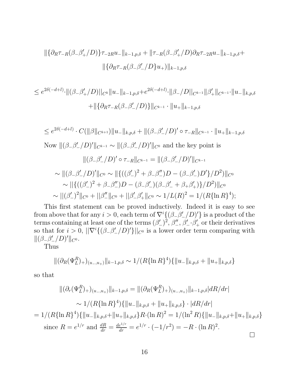$$
\|\{\partial_R \tau_{-R}(\beta_-\beta_+'/D)\}\tau_{-2R}u_-\|_{k-1,p,\delta} + \|\tau_{-R}(\beta_-\beta_+'/D)\partial_R \tau_{-2R}u_-\|_{k-1,p,\delta} +
$$

$$
\|\{\partial_R \tau_{-R}(\beta_-\beta_-'/D\}u_+)\|_{k-1,p,\delta}
$$

$$
\leq e^{2\delta(-d+l)} \cdot ||(\beta_- \beta_+' / D)||_{C^k} ||u_-||_{k-1,p,\delta} + e^{2\delta(-d+l)} \cdot ||\beta_- / D||_{C^{k-1}} ||\beta_+'||_{C^{k-1}} \cdot ||u_-||_{k,p,\delta}
$$
  
+ 
$$
||\{\partial_R \tau_{-R}(\beta_- \beta_-'/ D)\}||_{C^{k-1}} \cdot ||u_+||_{k-1,p,\delta}
$$

 $\leq e^{2\delta(-d+l)} \cdot C(\|\beta\|_{C^{k+1}}) \|u_-\|_{k,p,\delta} + \|(\beta_-\beta_-'/D)' \circ \tau_{-R}\|_{C^{k-1}} \cdot \|u_+\|_{k-1,p,\delta}$ Now  $\|(\beta-\beta'_{-}/D)'||_{C^{k-1}} \sim \|(\beta-\beta'_{-}/D)'\|_{C^0}$  and the key point is

$$
\|(\beta_{-}\beta_{-}'/D)'\circ\tau_{-R}\|_{C^{k-1}}=\|(\beta_{-}\beta_{-}'/D)'\|_{C^{k-1}}
$$

$$
\sim \|(\beta_{-}\beta'_{-}/D)'\|_{C^{0}} \sim \| \{((\beta'_{-})^{2} + \beta_{-}\beta''_{-})D - (\beta_{-}\beta'_{-})D'\}/D^{2}\}\|_{C^{0}} \sim \| \{((\beta'_{-})^{2} + \beta_{-}\beta''_{-})D - (\beta_{-}\beta'_{-})(\beta_{-}\beta'_{-} + \beta_{+}\beta'_{+})\}/D^{2}\|_{C^{0}} \sim \|(\beta'_{-})^{2}\|_{C^{0}} + \|\beta''_{-}\|_{C^{0}} + \|\beta'_{-}\beta'_{+}\|_{C^{0}} \sim 1/L(R)^{2} = 1/(R\{\ln R\}^{4});
$$

This first statement can be proved inductively. Indeed it is easy to see from above that for any  $i > 0$ , each term of  $\nabla^i \{(\beta-\beta'_{-}/D)'\}$  is a product of the terms containing at least one of the terms  $(\beta'_{-})^2$ ,  $\beta''_{-}$ ,  $\beta'_{-}$   $\cdot\beta'_{+}$  or their derivatives so that for  $i > 0$ ,  $||\nabla^{i} \{(\beta_{-\beta}^{\prime} / D)^{\prime}\}||_{C^{0}}$  is a lower order term comparing with  $\|(\beta_-\beta'_-/D)' \|_{C^0}.$ 

Thus

$$
\|(\partial_R(\Psi_L^R)_+)_{(u_-,u_+)}\|_{k-1,p,\delta} \sim 1/(R\{\ln R\}^4)\{\|u_-\|_{k,p,\delta} + \|u_+\|_{k,p,\delta}\}
$$

so that

$$
\|(\partial_r(\Psi_L^R)_+)_{(u_-,u_+)}\|_{k-1,p,\delta} = \|(\partial_R(\Psi_L^R)_+)_{(u_-,u_+)}\|_{k-1,p,\delta} dR/dr
$$
  

$$
\sim 1/(R\{\ln R\}^4)\{\|u_-\|_{k,p,\delta} + \|u_+\|_{k,p,\delta}\} \cdot |dR/dr|
$$
  

$$
= 1/(R\{\ln R\}^4)\{\|u_-\|_{k,p,\delta} + \|u_+\|_{k,p,\delta}\}R \cdot (\ln R)^2 = 1/(\ln^2 R)\{\|u_-\|_{k,p,\delta} + \|u_+\|_{k,p,\delta}\}
$$
  
since  $R = e^{1/r}$  and  $\frac{dR}{dr} = \frac{de^{1/r}}{dr} = e^{1/r} \cdot (-1/r^2) = -R \cdot (\ln R)^2.$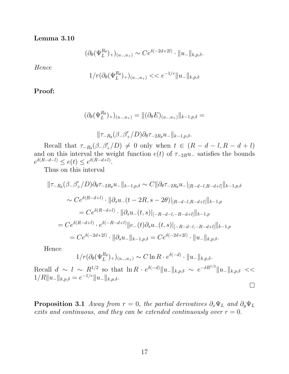Lemma 3.10

$$
(\partial_{\theta}(\Psi_L^{R_{\theta}})_+)_{(u_-,u_+)} \sim Ce^{\delta(-2d+2l)} \cdot ||u_-||_{k,p,\delta}.
$$

Hence

$$
1/r(\partial_{\theta}(\Psi_L^{R_{\theta}})_+)_{(u_-,u_+)} << e^{-1/r} \|u_-\|_{k,p,\delta}
$$

Proof:

$$
(\partial_{\theta}(\Psi_L^{R_{\theta}})_+)_{(u_-,u_+)} = ||(\partial_{\theta}E)_{(u_-,u_+)}||_{k-1,p,\delta} =
$$

$$
\|\tau_{-R_{\theta}}(\beta_{-}\beta_{+}'/D)\partial_{\theta}\tau_{-2R_{\theta}}u_{-}\|_{k-1,p,\delta}.
$$

Recall that  $\tau_{-R_{\theta}}(\beta_{-}\beta'_{+}/D) \neq 0$  only when  $t \in (R - d - l, R - d + l)$ and on this interval the weight function  $e(t)$  of  $\tau_{-2R}u_{-}$  satisfies the bounds  $e^{\delta(R-d-l)} \leq e(t) \leq e^{\delta(R-d+l)}.$ 

Thus on this interval

$$
\|\tau_{-R_{\theta}}(\beta_{-}\beta'_{+}/D)\partial_{\theta}\tau_{-2R_{\theta}}u_{-}\|_{k-1,p,\delta} \sim C\|\partial_{\theta}\tau_{-2R_{\theta}}u_{-}|_{[R-d-l,R-d+l]}\|_{k-1,p,\delta}
$$
  

$$
\sim Ce^{\delta(R-d+l)} \cdot \|\partial_{s}u_{-}(t-2R,s-2\theta)|_{[R-d-l,R-d+l]}\|_{k-1,p}
$$
  

$$
= Ce^{\delta(R-d+l)} \cdot \|\partial_{s}u_{-}(t,s)\|_{[-R-d-l,-R-d+l]}\|_{k-1,p}
$$
  

$$
= Ce^{\delta(R-d+l)} \cdot e^{\delta(-R-d+l)}\|e_{-}(t)\partial_{s}u_{-}(t,s)\|_{[-R-d-l,-R-d+l]}\|_{k-1,p}
$$
  

$$
= Ce^{\delta(-2d+2l)} \cdot \|\partial_{s}u_{-}\|_{k-1,p,\delta} = Ce^{\delta(-2d+2l)} \cdot \|u_{-}\|_{k,p,\delta}.
$$

Hence

$$
1/r(\partial_{\theta}(\Psi_L^{R_{\theta}})_+)_{(u_-,u_+)} \sim C \ln R \cdot e^{\delta(-d)} \cdot ||u_-||_{k,p,\delta}.
$$

Recall  $d \sim l \sim R^{1/2}$  so that  $\ln R \cdot e^{\delta(-d)} \|u_{-}\|_{k,p,\delta} \sim e^{-\delta R^{1/2}} \|u_{-}\|_{k,p,\delta} \ll$  $1/R||u_-\|_{k,p,\delta} = e^{-1/r}||u_-\|_{k,p,\delta}.$  $\Box$ 

**Proposition 3.1** Away from  $r = 0$ , the partial derivatives  $\partial_x \Psi_L$  and  $\partial_y \Psi_L$ exits and continuous, and they can be extended continuously over  $r = 0$ .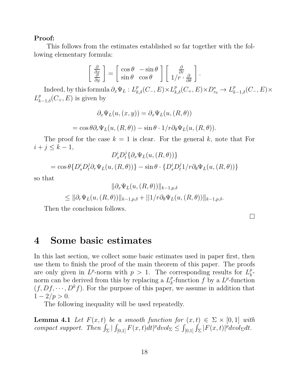This follows from the estimates established so far together with the following elementary formula:

$$
\begin{bmatrix} \frac{\partial}{\partial x} \\ \frac{\partial}{\partial y} \end{bmatrix} = \begin{bmatrix} \cos \theta & -\sin \theta \\ \sin \theta & \cos \theta \end{bmatrix} \begin{bmatrix} \frac{\partial}{\partial r} \\ 1/r \cdot \frac{\partial}{\partial \theta} \end{bmatrix}
$$

Indeed, by this formula  $\partial_x \Psi_L : L^p_{k,\delta}(C_-, E) \times L^p_{k,\delta}(C_+, E) \times D^*_{r_0} \to L^p_{k-1,\delta}(C_-, E) \times D^*_{k,\delta}(C_-, E)$  $L_{k-1,\delta}^p(C_+, E)$  is given by

.

$$
\partial_x \Psi_L(u,(x,y)) = \partial_x \Psi_L(u,(R,\theta))
$$
  
=  $\cos \theta \partial_r \Psi_L(u,(R,\theta)) - \sin \theta \cdot 1/r \partial_\theta \Psi_L(u,(R,\theta)).$ 

The proof for the case  $k = 1$  is clear. For the general k, note that For  $i + j \leq k - 1$ ,

$$
D_s^i D_t^j \{ \partial_x \Psi_L(u, (R, \theta)) \}
$$
  
=  $\cos \theta \{ D_s^i D_t^j \partial_r \Psi_L(u, (R, \theta)) \} - \sin \theta \cdot \{ D_s^i D_t^j 1 / r \partial_\theta \Psi_L(u, (R, \theta)) \}$ 

so that

$$
\|\partial_x \Psi_L(u, (R, \theta))\|_{k-1, p, \delta}
$$
  

$$
\leq \|\partial_r \Psi_L(u, (R, \theta))\|_{k-1, p, \delta} + \|1/r \partial_\theta \Psi_L(u, (R, \theta))\|_{k-1, p, \delta}.
$$

Then the conclusion follows.

 $\Box$ 

## 4 Some basic estimates

In this last section, we collect some basic estimates used in paper first, then use them to finish the proof of the main theorem of this paper. The proofs are only given in  $L^p$ -norm with  $p > 1$ . The corresponding results for  $L_k^p$  $\frac{p}{k}$ norm can be derived from this by replacing a  $L_k^p$ <sup>*p*</sup>-function *f* by a *L<sup>p</sup>*-function  $(f, Df, \dots, D^k f)$ . For the purpose of this paper, we assume in addition that  $1 - 2/p > 0.$ 

The following inequality will be used repeatedly.

**Lemma 4.1** Let  $F(x,t)$  be a smooth function for  $(x,t) \in \Sigma \times [0,1]$  with compact support. Then  $\int_{\Sigma} |\int_{[0,1]} F(x,t)dt|^p dvol_{\Sigma} \leq \int_{[0,1]} \int_{\Sigma} |F(x,t)|^p dvol_{\Sigma} dt$ .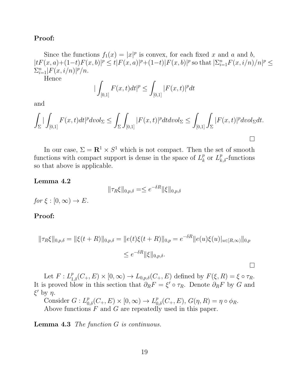Since the functions  $f_1(x) = |x|^p$  is convex, for each fixed x and a and b,  $|tF(x, a) + (1-t)F(x, b)|^p \le t|F(x, a)|^p + (1-t)|F(x, b)|^p$  so that  $|\Sigma_{i=1}^n F(x, i/n)/n|^p \le$  $\sum_{i=1}^{n} |F(x, i/n)|^p/n.$ 

Hence

$$
|\int_{[0,1]} F(x,t)dt|^p \le \int_{[0,1]} |F(x,t)|^p dt
$$

and

$$
\int_{\Sigma} |\int_{[0,1]} F(x,t)dt|^p dvol_{\Sigma} \leq \int_{\Sigma} \int_{[0,1]} |F(x,t)|^p dt dvol_{\Sigma} \leq \int_{[0,1]} \int_{\Sigma} |F(x,t)|^p dvol_{\Sigma} dt.
$$

In our case,  $\Sigma = \mathbb{R}^1 \times S^1$  which is not compact. Then the set of smooth functions with compact support is dense in the space of  $L_k^p$  $_k^p$  or  $L_{k,\delta}^p$ -functions so that above is applicable.

#### Lemma 4.2

$$
\|\tau_R \xi\|_{0,p,\delta} = \leq e^{-\delta R} \|\xi\|_{0,p,\delta}
$$

for  $\xi : [0, \infty) \to E$ .

#### Proof:

$$
\|\tau_R \xi\|_{0,p,\delta} = \|\xi(t+R)\|_{0,p,\delta} = \|e(t)\xi(t+R)\|_{0,p} = e^{-\delta R} \|e(u)\xi(u)\|_{u\in[R,\infty)}\|_{0,p}
$$
  

$$
\leq e^{-\delta R} \|\xi\|_{0,p,\delta}.
$$

Let  $F: L^p_{1,\delta}(C_+, E) \times [0, \infty) \to L_{0,p,\delta}(C_+, E)$  defined by  $F(\xi, R) = \xi \circ \tau_R$ . It is proved blow in this section that  $\partial_R F = \xi' \circ \tau_R$ . Denote  $\partial_R F$  by G and  $\xi'$  by  $\eta$ .

Consider  $G: L^p_{0,\delta}(C_+, E) \times [0, \infty) \to L^p_{0,\delta}(C_+, E), G(\eta, R) = \eta \circ \phi_R$ . Above functions F and G are repeatedly used in this paper.

Lemma 4.3 The function G is continuous.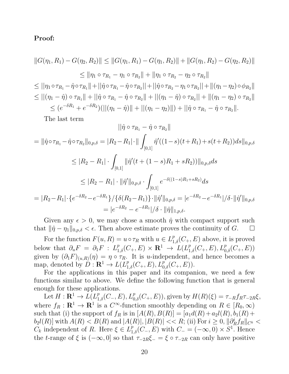$$
||G(\eta_1, R_1) - G(\eta_2, R_2)|| \le ||G(\eta_1, R_1) - G(\eta_1, R_2)|| + ||G(\eta_1, R_2) - G(\eta_2, R_2)||
$$
  
\n
$$
\le ||\eta_1 \circ \tau_{R_1} - \eta_1 \circ \tau_{R_2}|| + ||\eta_1 \circ \tau_{R_2} - \eta_2 \circ \tau_{R_2}||
$$
  
\n
$$
\le ||\eta_1 \circ \tau_{R_1} - \hat{\eta} \circ \tau_{R_1}|| + ||\hat{\eta} \circ \tau_{R_1} - \hat{\eta} \circ \tau_{R_2}|| + ||\hat{\eta} \circ \tau_{R_2} - \eta_1 \circ \tau_{R_2}|| + ||(\eta_1 - \eta_2) \circ \phi_{R_2}||
$$
  
\n
$$
\le ||(\eta_1 - \hat{\eta}) \circ \tau_{R_1}|| + ||\hat{\eta} \circ \tau_{R_1} - \hat{\eta} \circ \tau_{R_2}|| + ||(\eta_1 - \hat{\eta}) \circ \tau_{R_2}|| + ||(\eta_1 - \eta_2) \circ \tau_{R_2}||
$$
  
\n
$$
\le (e^{-\delta R_1} + e^{-\delta R_2})(||(\eta_1 - \hat{\eta})|| + ||(\eta_1 - \eta_2)||) + ||\hat{\eta} \circ \tau_{R_1} - \hat{\eta} \circ \tau_{R_2}||.
$$

The last term

$$
||\hat{\eta} \circ \tau_{R_1} - \hat{\eta} \circ \tau_{R_2}||
$$
  
\n
$$
= ||\hat{\eta} \circ \tau_{R_1} - \hat{\eta} \circ \tau_{R_2}||_{0,p,\delta} = |R_2 - R_1| \cdot || \int_{[0,1]} \hat{\eta}'((1-s)(t+R_1) + s(t+R_2))ds||_{0,p,\delta}
$$
  
\n
$$
\leq |R_2 - R_1| \cdot \int_{[0,1]} ||\hat{\eta}'(t+(1-s)R_1 + sR_2))||_{0,p,\delta} ds
$$
  
\n
$$
\leq |R_2 - R_1| \cdot ||\hat{\eta}'||_{0,p,\delta} \cdot \int_{[0,1]} e^{-\delta((1-s)R_1 + sR_2)} ds
$$
  
\n
$$
= |R_2 - R_1| \cdot \{e^{-\delta R_2} - e^{-\delta R_1}\} / {\{\delta(R_2 - R_1)\} \cdot ||\hat{\eta}'||_{0,p,\delta}} = |e^{-\delta R_2} - e^{-\delta R_1}| / \delta \cdot ||\hat{\eta}'||_{0,p,\delta}
$$
  
\n
$$
= |e^{-\delta R_2} - e^{-\delta R_1}| / \delta \cdot ||\hat{\eta}||_{1,p,\delta}.
$$

Given any  $\epsilon > 0$ , we may chose a smooth  $\hat{\eta}$  with compact support such that  $\|\hat{\eta} - \eta_1\|_{0,p,\delta} < \epsilon$ . Then above estimate proves the continuity of G.  $\Box$ 

For the function  $F(u, R) = u \circ \tau_R$  with  $u \in L^p_{1,\delta}(C_+, E)$  above, it is proved below that  $\partial_u F = \partial_1 F : L^p_{1,\delta}(C_+, E) \times \mathbf{R}^1 \to L^p(L^p_{1,\delta}(C_+, E), L^p_{0,\delta}(C_+, E))$ given by  $(\partial_1 F)_{(u,R)}(\eta) = \eta \circ \tau_R$ . It is u-independent, and hence becomes a map, denoted by  $D: \mathbf{R}^1 \to L(L_{1,\delta}^p(C_+, E), L_{0,\delta}^p(C_+, E)).$ 

For the applications in this paper and its companion, we need a few functions similar to above. We define the following function that is general enough for these applications.

Let  $H: \mathbf{R}^1 \to \overline{L}(L_{1,\delta}^p(C_-, E), L_{0,\delta}^p(C_+, E)),$  given by  $H(R)(\xi) = \tau_{-R}f_R\tau_{-2R}\xi$ , where  $f_R : \mathbf{R}^1 \to \mathbf{R}^1$  is a  $C^{\infty}$ -function smoothly depending on  $R \in [R_0, \infty)$ such that (i) the support of  $f_R$  is in  $[A(R), B(R)] = [a_1d(R) + a_2l(R), b_1(R) +$  $b_2 l(R)$  with  $A(R) < B(R)$  and  $|A(R)|, |B(R)| < R;$  (ii) For  $i \ge 0, \|\partial_R^i\|$  $\int_R f_R$ || $_{C^k}$   $<$  $C_k$  independent of R. Here  $\xi \in L^p_{1,\delta}(C_-, E)$  with  $C_- = (-\infty, 0) \times S^1$ . Hence the t-range of  $\xi$  is  $(-\infty, 0]$  so that  $\tau_{-2R}\xi_{-} = \xi \circ \tau_{-2R}$  can only have positive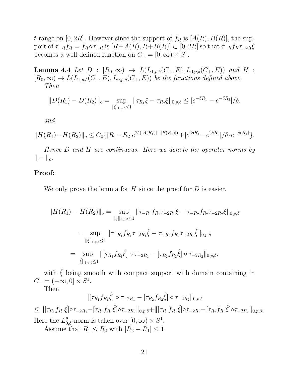t-range on [0, 2R]. However since the support of  $f_R$  is [A(R), B(R)], the support of  $\tau_{-R}f_R = f_R \circ \tau_{-R}$  is  $[R + A(R), R + B(R)] \subset [0, 2R]$  so that  $\tau_{-R}f_R \tau_{-2R} \xi$ becomes a well-defined function on  $C_+ = [0, \infty) \times S^1$ .

**Lemma 4.4** Let  $D : [R_0, \infty) \to L(L_{1,p,\delta}(C_+, E), L_{0,p,\delta}(C_+, E))$  and  $H$ :  $[R_0, \infty) \to L(L_{1,p,\delta}(C_-, E), L_{0,p,\delta}(C_+, E))$  be the functions defined above. Then

$$
||D(R_1) - D(R_2)||_o = \sup_{\|\xi\|_{1,p,\delta} \le 1} ||\tau_{R_1}\xi - \tau_{R_2}\xi||_{0,p,\delta} \le |e^{-\delta R_1} - e^{-\delta R_2}|/\delta.
$$

and

$$
||H(R_1) - H(R_2)||_o \le C_0 \{ |R_1 - R_2|e^{2\delta(|A(R_1)| + |B(R_1)|)} + |e^{2\delta R_1} - e^{2\delta R_2}|/\delta \cdot e^{-\delta(R_1)} \}.
$$

Hence D and H are continuous. Here we denote the operator norms by  $|| - ||_o.$ 

## Proof:

We only prove the lemma for  $H$  since the proof for  $D$  is easier.

$$
||H(R_1) - H(R_2)||_o = \sup_{||\xi||_{1,p,\delta} \le 1} ||\tau_{-R_1} f_{R_1} \tau_{-2R_1} \xi - \tau_{-R_2} f_{R_2} \tau_{-2R_2} \xi ||_{0,p,\delta}
$$
  

$$
= \sup_{||\hat{\xi}||_{1,p,\delta} \le 1} ||\tau_{-R_1} f_{R_1} \tau_{-2R_1} \hat{\xi} - \tau_{-R_2} f_{R_2} \tau_{-2R_2} \hat{\xi} ||_{0,p,\delta}
$$
  

$$
= \sup_{||\hat{\xi}||_{1,p,\delta} \le 1} ||[\tau_{R_1} f_{R_1} \hat{\xi}] \circ \tau_{-2R_1} - [\tau_{R_2} f_{R_2} \hat{\xi}] \circ \tau_{-2R_2} ||_{0,p,\delta}.
$$

with  $\hat{\xi}$  being smooth with compact support with domain containing in  $C_- = (-\infty, 0] \times S^1.$ 

Then

$$
\|[\tau_{R_1}f_{R_1}\hat{\xi}]\circ\tau_{-2R_1} - [\tau_{R_2}f_{R_2}\hat{\xi}]\circ\tau_{-2R_2}\|_{0,p,\delta}
$$
  
\n
$$
\leq \|\tau_{R_1}f_{R_1}\hat{\xi}]\circ\tau_{-2R_1} - [\tau_{R_1}f_{R_1}\hat{\xi}]\circ\tau_{-2R_2}\|_{0,p,\delta} + \|[\tau_{R_1}f_{R_1}\hat{\xi}]\circ\tau_{-2R_2} - [\tau_{R_2}f_{R_2}\hat{\xi}]\circ\tau_{-2R_2}\|_{0,p,\delta}.
$$
  
\nHere the  $L_{0,\delta}^p$ -norm is taken over  $[0,\infty)\times S^1$ .

Assume that  $R_1 \leq R_2$  with  $|R_2 - R_1| \leq 1$ .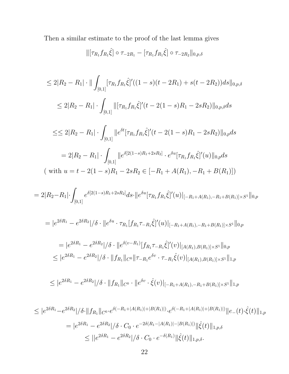Then a similar estimate to the proof of the last lemma gives

$$
\|[\tau_{R_1}f_{R_1}\hat{\xi}]\circ\tau_{-2R_1}-[\tau_{R_1}f_{R_1}\hat{\xi}]\circ\tau_{-2R_2}\|_{0,p,\delta}
$$

$$
\leq 2|R_2 - R_1| \cdot || \int_{[0,1]} [\tau_{R_1} f_{R_1} \hat{\xi}]'((1-s)(t-2R_1) + s(t-2R_2))ds||_{0,p,\delta}
$$
  
\n
$$
\leq 2|R_2 - R_1| \cdot \int_{[0,1]} ||[\tau_{R_1} f_{R_1} \hat{\xi}]'(t-2(1-s)R_1 - 2sR_2)||_{0,p,\delta} ds
$$
  
\n
$$
\leq \leq 2|R_2 - R_1| \cdot \int_{[0,1]} ||e^{\delta t} [\tau_{R_1} f_{R_1} \hat{\xi}]'(t-2(1-s)R_1 - 2sR_2)||_{0,p} ds
$$
  
\n
$$
= 2|R_2 - R_1| \cdot \int_{[0,1]} ||e^{\delta[2(1-s)R_1 + 2sR_2]} \cdot e^{\delta u} [\tau_{R_1} f_{R_1} \hat{\xi}]'(u)||_{0,p} ds
$$
  
\n(with  $u = t - 2(1-s)R_1 - 2sR_2 \in [-R_1 + A(R_1), -R_1 + B(R_1)])$ 

$$
= 2|R_2 - R_1| \cdot \int_{[0,1]} e^{\delta[2(1-s)R_1 + 2sR_2]} ds \cdot ||e^{\delta u}[\tau_{R_1}f_{R_1}\hat{\xi}]'(u)|_{[-R_1 + A(R_1), -R_1 + B(R_1)] \times S^1} ||_{0,p}
$$

$$
= |e^{2\delta R_1} - e^{2\delta R_2}|/\delta \cdot ||e^{\delta u} \cdot \tau_{R_1}[f_{R_1} \tau_{-R_1} \hat{\xi}]'(u)|_{[-R_1 + A(R_1), -R_1 + B(R_1)] \times S^1}||_{0,p}
$$

$$
= |e^{2\delta R_1} - e^{2\delta R_2}|/\delta \cdot ||e^{\delta(v - R_1)}[f_{R_1} \tau_{-R_1} \hat{\xi}]'(v)|_{[A(R_1), B(R_1)] \times S^1}||_{0, p}
$$
  

$$
\leq |e^{2\delta R_1} - e^{2\delta R_2}|/\delta \cdot ||f_{R_1}||_{C^0}||\tau_{-R_1} e^{\delta v} \cdot \tau_{-R_1} \hat{\xi}(v)|_{[A(R_1), B(R_1)] \times S^1}||_{1, p}
$$

$$
\leq |e^{2\delta R_1} - e^{2\delta R_2}|/\delta \cdot ||f_{R_1}||_{C^0} \cdot ||e^{\delta v} \cdot \hat{\xi}(v)||_{[-R_1 + A(R_1), -R_1 + B(R_1)] \times S^1}||_{1,p}
$$

$$
\leq |e^{2\delta R_1} - e^{2\delta R_2}|/\delta \cdot ||f_{R_1}||_{C^0} \cdot e^{\delta(-R_1 + |A(R_1)| + |B(R_1)|)} \cdot e^{\delta(-R_1 + |A(R_1)| + |B(R_1)|)} ||e_-(t) \cdot \hat{\xi}(t)||_{1,p}
$$
  
=  $|e^{2\delta R_1} - e^{2\delta R_2}|/\delta \cdot C_0 \cdot e^{-2\delta(R_1 - |A(R_1)| - |B(R_1)|)} ||\hat{\xi}(t)||_{1,p,\delta}$   

$$
\leq ||e^{2\delta R_1} - e^{2\delta R_2}|/\delta \cdot C_0 \cdot e^{-\delta(R_1)} ||\hat{\xi}(t)||_{1,p,\delta}.
$$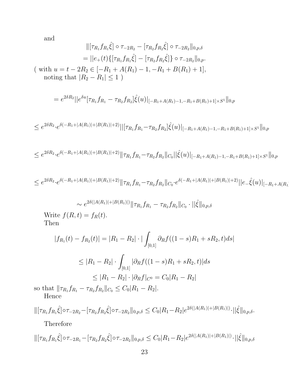and

$$
\|[\tau_{R_1}f_{R_1}\hat{\xi}] \circ \tau_{-2R_2} - [\tau_{R_2}f_{R_2}\hat{\xi}] \circ \tau_{-2R_2}\|_{0,p,\delta}
$$
  
\n
$$
= \|e_+(t)\{[\tau_{R_1}f_{R_1}\hat{\xi}] - [\tau_{R_2}f_{R_2}\hat{\xi}]\} \circ \tau_{-2R_2}\|_{0,p}.
$$
  
\n(with  $u = t - 2R_2 \in [-R_1 + A(R_1) - 1, -R_1 + B(R_1) + 1],$   
\nnoting that  $|R_2 - R_1| \le 1$ )

$$
= e^{2\delta R_2} ||e^{\delta u} [\tau_{R_1} f_{R_1} - \tau_{R_2} f_{R_2}] \hat{\xi}(u) ||_{[-R_1 + A(R_1) - 1, -R_1 + B(R_1) + 1] \times S^1} ||_{0,p}
$$

$$
\leq e^{2\delta R_2} \cdot e^{\delta(-R_1 + |A(R_1)| + |B(R_1)| + 2)} ||[\tau_{R_1} f_{R_1} - \tau_{R_2} f_{R_2}] \hat{\xi}(u) ||_{[-R_1 + A(R_1) - 1, -R_1 + B(R_1) + 1] \times S^1} ||_{0,p}
$$

$$
\leq e^{2\delta R_2} \cdot e^{\delta(-R_1 + |A(R_1)| + |B(R_1)| + 2)} \|\tau_{R_1} f_{R_1} - \tau_{R_2} f_{R_2}\|_{C_0} \|\hat{\xi}(u)\|_{[-R_1 + A(R_1) - 1, -R_1 + B(R_1) + 1] \times S^1}\|_{0, p}
$$

$$
\leq e^{2\delta R_2} \cdot e^{\delta(-R_1 + |A(R_1)| + |B(R_1)| + 2)} \|\tau_{R_1} f_{R_1} - \tau_{R_2} f_{R_2}\|_{C_0} \cdot e^{\delta(-R_1 + |A(R_1)| + |B(R_1)| + 2)} ||e_{-}\hat{\xi}(u)||_{[-R_1 + A(R_1)]}
$$

$$
\sim e^{2\delta(|A(R_1)|+|B(R_1)|)} \|\tau_{R_1} f_{R_1} - \tau_{R_2} f_{R_2}\|_{C_0} \cdot \|\hat{\xi}\|_{0,p,\delta}
$$
  

$$
R, t) = f_P(t).
$$

Write  $f(R, t) = f_R(t)$ . Then

$$
|f_{R_1}(t) - f_{R_2}(t)| = |R_1 - R_2| \cdot |\int_{[0,1]} \partial_R f((1 - s)R_1 + sR_2, t)ds|
$$
  
\n
$$
\leq |R_1 - R_2| \cdot \int_{[0,1]} |\partial_R f((1 - s)R_1 + sR_2, t)| ds
$$
  
\n
$$
\leq |R_1 - R_2| \cdot |\partial_R f|_{C^0} = C_0|R_1 - R_2|
$$

so that  $\|\tau_{R_1} f_{R_1} - \tau_{R_2} f_{R_2}\|_{C_0} \leq C_0|R_1 - R_2|.$ Hence

$$
\|[\tau_{R_1}f_{R_1}\hat{\xi}]\circ\tau_{-2R_2} - [\tau_{R_2}f_{R_2}\hat{\xi}]\circ\tau_{-2R_2}\|_{0,p,\delta} \leq C_0|R_1 - R_2|e^{2\delta(|A(R_1)| + |B(R_1)|)}\cdot||\hat{\xi}\|_{0,p,\delta}.
$$
  
Therefore

$$
\|[\tau_{R_1}f_{R_1}\hat{\xi}]\circ\tau_{-2R_1} - [\tau_{R_2}f_{R_2}\hat{\xi}]\circ\tau_{-2R_2}\|_{0,p,\delta} \leq C_0|R_1 - R_2|e^{2\delta(|A(R_1)| + |B(R_1)|)} \cdot ||\hat{\xi}||_{0,p,\delta}
$$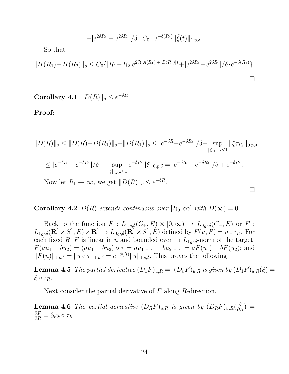$$
+ |e^{2\delta R_1} - e^{2\delta R_2}|/\delta \cdot C_0 \cdot e^{-\delta(R_1)} \|\hat{\xi}(t)\|_{1,p,\delta}.
$$

So that

$$
||H(R_1) - H(R_2)||_o \le C_0 \{ |R_1 - R_2|e^{2\delta(|A(R_1)| + |B(R_1)|)} + |e^{2\delta R_1} - e^{2\delta R_2}|/\delta \cdot e^{-\delta(R_1)} \}.
$$

Corollary 4.1  $||D(R)||_o \leq e^{-\delta R}$ .

Proof:

$$
||D(R)||_{o} \le ||D(R) - D(R_{1})||_{o} + ||D(R_{1})||_{o} \le |e^{-\delta R} - e^{-\delta R_{1}}|/\delta + \sup_{||\xi|_{1,p,\delta} \le 1} ||\xi \tau_{R_{1}}||_{0,p,\delta}
$$
  
\n
$$
\le |e^{-\delta R} - e^{-\delta R_{1}}|/\delta + \sup_{||\xi|_{1,p,\delta} \le 1} e^{-\delta R_{1}} ||\xi||_{0,p,\delta} = |e^{-\delta R} - e^{-\delta R_{1}}|/\delta + e^{-\delta R_{1}}.
$$
  
\nNow let  $R_{1} \to \infty$ , we get  $||D(R)||_{o} \le e^{-\delta R}$ .

**Corollary 4.2**  $D(R)$  extends continuous over  $[R_0, \infty]$  with  $D(\infty) = 0$ .

Back to the function  $F: L_{1,p,\delta}(C_+, E) \times [0,\infty) \to L_{0,p,\delta}(C_+, E)$  or  $F:$  $L_{1,p,\delta}(\mathbf{R}^1 \times S^1, E) \times \mathbf{R}^1 \to L_{0,p,\delta}(\mathbf{R}^1 \times S^1, E)$  defined by  $F(u, R) = u \circ \tau_R$ . For each fixed R, F is linear in u and bounded even in  $L_{1,p,\delta}$ -norm of the target:  $F(au_1 + bu_2) = (au_1 + bu_2) \circ \tau = au_1 \circ \tau + bu_2 \circ \tau = aF(u_1) + bF(u_2);$  and  $||F(u)||_{1,p,\delta} = ||u \circ \tau||_{1,p,\delta} = e^{\pm \delta(R)} ||u||_{1,p,\delta}$ . This proves the following

**Lemma 4.5** The partial derivative  $(D_1F)_{u,R} =: (D_uF)_{u,R}$  is given by  $(D_1F)_{u,R}(\xi) =$ ξ ο  $τ_R$ .

Next consider the partial derivative of F along R-direction.

**Lemma 4.6** The partial derivative  $(D_R F)_{u,R}$  is given by  $(D_R F)_{u,R}(\frac{\partial}{\partial R}) =$  $\frac{\partial F}{\partial R} = \partial_t u \circ \tau_R.$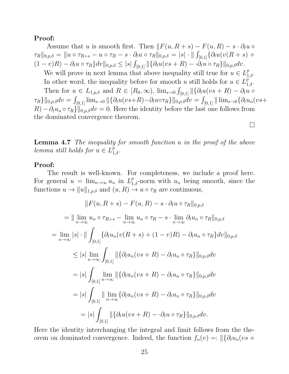Assume that u is smooth first. Then  $\|F(u, R + s) - F(u, R) - s \cdot \partial_t u \circ$  $\tau_R \|_{0,p,\delta} = \| u \circ \tau_{R+s} - u \circ \tau_R - s \cdot \partial_t u \circ \tau_R \|_{0,p,\delta} = |s| \cdot \| \int_{[0,1]} \{ \partial_t u (v(R+s) + \sigma_k) \}$  $(1-v)R) - \partial_t u \circ \tau_R \} dv \|_{0,p,\delta} \leq |s| \int_{[0,1]} || \{ \partial_t u (vs + R) - \partial_t u \circ \tau_R \} ||_{0,p,\delta} dv.$ We will prove in next lemma that above inequality still true for  $u \in L^p_{1,\delta}$ . In other word, the inequality before for smooth u still holds for  $u \in L_{1,\delta}^{\overline{p}^*}$ . Then for  $u \in L_{1,p,\delta}$  and  $R \in [R_0,\infty)$ ,  $\lim_{s\to 0} \int_{[0,1]} ||\{\partial_t u(vs+R) - \partial_t u\}$  $\{\tau_R\}\|_{0,p,\delta}dv = \int_{[0,1]} \lim_{s\to 0} \|\{\partial_t u(vs+{R})-\partial_t u\circ\tau_R\}\|_{0,p,\delta}dv = \int_{[0,1]} \|\lim_{s\to 0}\{\partial_t u_n(vs+{R})\}$  $R - \partial_t u_n \circ \tau_R \|_{0,p,\delta} dv = 0.$  Here the identity before the last one follows from the dominated convergence theorem.  $\Box$ 

Lemma 4.7 The inequality for smooth function u in the proof of the above lemma still holds for  $u \in L^p_{1,\delta}$ .

### Proof:

The result is well-known. For completeness, we include a proof here. For general  $u = \lim_{n \to \infty} u_n$  in  $L^p_{1,\delta}$ -norm with  $u_n$  being smooth, since the functions  $u \to ||u||_{1,p,\delta}$  and  $(u, R) \to u \circ \tau_R$  are continuous,

$$
||F(u, R + s) - F(u, R) - s \cdot \partial_t u \circ \tau_R||_{0, p, \delta}
$$
  
\n
$$
= ||\lim_{n \to \infty} u_n \circ \tau_{R+s} - \lim_{n \to \infty} u_n \circ \tau_R - s \cdot \lim_{n \to \infty} \partial_t u_n \circ \tau_R||_{0, p, \delta}
$$
  
\n
$$
= \lim_{n \to \infty} |s| \cdot ||\int_{[0,1]} \{ \partial_t u_n(v(R + s) + (1 - v)R) - \partial_t u_n \circ \tau_R \} dv||_{0, p, \delta}
$$
  
\n
$$
\leq |s| \lim_{n \to \infty} \int_{[0,1]} ||\{ \partial_t u_n(vs + R) - \partial_t u_n \circ \tau_R \}||_{0, p, \delta} dv
$$
  
\n
$$
= |s| \int_{[0,1]} \lim_{n \to \infty} ||\{ \partial_t u_n(vs + R) - \partial_t u_n \circ \tau_R \}||_{0, p, \delta} dv
$$
  
\n
$$
= |s| \int_{[0,1]} ||\lim_{n \to \infty} {\{\partial_t u_n(vs + R) - \partial_t u_n \circ \tau_R \}||_{0, p, \delta} dv}
$$
  
\n
$$
= |s| \int_{[0,1]} ||\{ \partial_t u(vs + R) - \cdot \partial_t u \circ \tau_R \}||_{0, p, \delta} dv.
$$

Here the identity interchanging the integral and limit follows from the theorem on dominated convergence. Indeed, the function  $f_n(v) =: \|\{\partial_t u_n(vs +$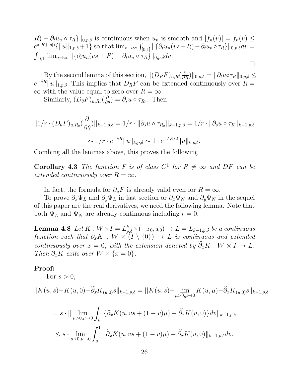$R) - \partial_t u_n \circ \tau_R$  |  $\|0, p, \delta\|$  is continuous when  $u_n$  is smooth and  $|f_n(v)| = f_n(v) \leq$  $e^{\delta(R+|s|)}\{\|u\|_{1,p,\delta}+1\}$  so that  $\lim_{n\to\infty}\int_{[0,1]}\|\{\partial_t u_n(vs+{R})-{\partial_t u_n\circ\tau_R}\}\|_{0,p,\delta}dv=0$  $\int_{[0,1]} \lim_{n\to\infty} ||\{\partial_t u_n(vs+{R})-\partial_t u_n\circ\tau_R\}||_{0,p,\delta}dv.$  $\Box$ 

By the second lemma of this section,  $||(D_R F)_{u,R}(\frac{\partial}{\partial R})||_{0,p,\delta} = ||\partial_t u \circ \tau_R||_{0,p,\delta} \leq$  $e^{-\delta R} ||u||_{1,p,\delta}$ . This implies that  $D_R F$  can be extended continuously over  $R =$  $\infty$  with the value equal to zero over  $R = \infty$ .

Similarly,  $(D_{\theta} F)_{u, R_{\theta}}(\frac{\partial}{\partial \theta}) = \partial_s u \circ \tau_{R_{\theta}}$ . Then

$$
||1/r \cdot (D_{\theta}F)_{u,R_{\theta}}(\frac{\partial}{\partial \theta})||_{k-1,p,\delta} = 1/r \cdot ||\partial_s u \circ \tau_{R_{\theta}}||_{k-1,p,\delta} = 1/r \cdot ||\partial_s u \circ \tau_R||_{k-1,p,\delta}
$$

$$
\sim 1/r \cdot e^{-\delta R} ||u||_{k,p,\delta} \sim 1 \cdot e^{-\delta R/2} ||u||_{k,p,\delta}.
$$

Combing all the lemmas above, this proves the following

**Corollary 4.3** The function F is of class  $C^1$  for  $R \neq \infty$  and DF can be extended continuously over  $R = \infty$ .

In fact, the formula for  $\partial_u F$  is already valid even for  $R = \infty$ .

To prove  $\partial_x\Psi_L$  and  $\partial_y\Psi_L$  in last section or  $\partial_x\Psi_N$  and  $\partial_y\Psi_N$  in the sequel of this paper are the real derivatives, we need the following lemma. Note that both  $\Psi_L$  and  $\Psi_N$  are already continuous including  $r = 0$ .

**Lemma 4.8** Let  $K: W \times I = L_{p,\delta}^k \times (-x_0, x_0) \rightarrow L = L_{k-1,p,\delta}$  be a continuous function such that  $\partial_x K : W \times (I \setminus \{0\}) \to L$  is continuous and extended continuously over  $x = 0$ , with the extension denoted by  $\partial_x K : W \times I \to L$ . Then  $\partial_x K$  exits over  $W \times \{x = 0\}.$ 

#### Proof:

For  $s > 0$ ,

$$
||K(u,s)-K(u,0)-\widetilde{\partial}_x K_{(u,0)}s||_{k-1,p,\delta} = ||K(u,s)-\lim_{\mu>0,\mu\to 0} K(u,\mu)-\widetilde{\partial}_x K_{(u,0)}s||_{k-1,p,\delta}
$$

$$
= s \cdot ||\lim_{\mu>0,\mu\to 0} \int_{\mu}^{1} {\partial}_x K(u, vs + (1 - v)\mu) - \widetilde{\partial}_x K(u, 0) \} dv||_{k-1, p, \delta}
$$
  

$$
\leq s \cdot \lim_{\mu>0,\mu\to 0} \int_{\mu}^{1} ||\widetilde{\partial}_x K(u, vs + (1 - v)\mu) - \widetilde{\partial}_x K(u, 0)||_{k-1, p, \delta} dv.
$$